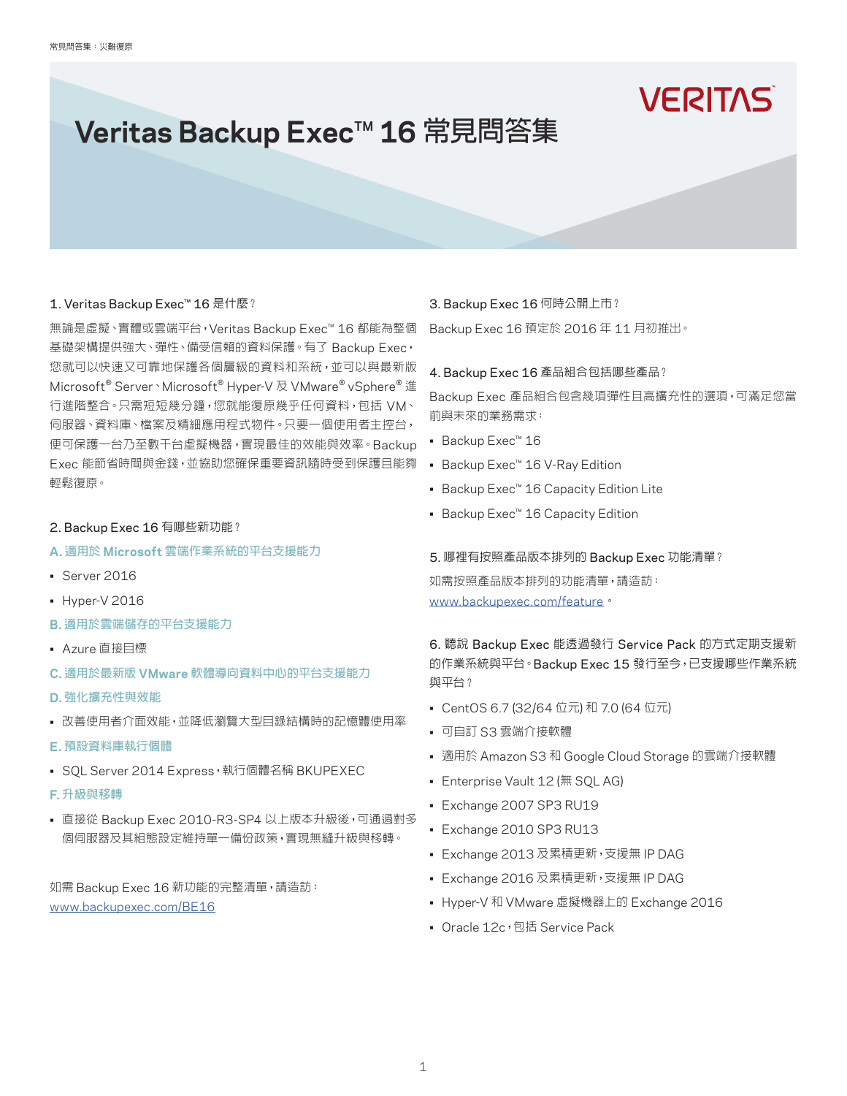# **VERITAS**

# Veritas Backup Exec<sup>™</sup> 16 常見問答集

# 1. Veritas Backup Exec™ 16 是什麼?

無論是虛擬、實體或雲端平台,Veritas Backup Exec™ 16 都能為整個 基礎架構提供強大、彈性、備受信賴的資料保護。有了 Backup Exec, 您就可以快速又可靠地保護各個層級的資料和系統,並可以與最新版 Microsoft® Server、Microsoft® Hyper-V 及 VMware® vSphere® 進 行進階整合。只需短短幾分鐘,您就能復原幾乎任何資料,包括 VM、 伺服器、資料庫、檔案及精細應用程式物件。只要一個使用者主控台, 便可保護一台乃至數千台虛擬機器,實現最佳的效能與效率。Backup Exec 能節省時間與金錢,並協助您確保重要資訊隨時受到保護且能夠 輕鬆復原。

## 2. Backup Exec 16 有哪些新功能?

- **A.** 適用於 **Microsoft** 雲端作業系統的平台支援能力
- Server 2016
- Hyper-V 2016
- **B.** 適用於雲端儲存的平台支援能力
- Azure 直接目標
- **C.** 適用於最新版 **VMware** 軟體導向資料中心的平台支援能力
- **D.** 強化擴充性與效能
- 改善使用者介面效能,並降低瀏覽大型目錄結構時的記憶體使用率
- **E.** 預設資料庫執行個體
- SOL Server 2014 Express, 執行個體名稱 BKUPEXEC
- **F.** 升級與移轉
- 直接從 Backup Exec 2010-R3-SP4 以上版本升級後,可通過對多 個伺服器及其組態設定維持單一備份政策,實現無縫升級與移轉。

如需 Backup Exec 16 新功能的完整清單,請造訪: www.backupexec.com/BE16

## 3. Backup Exec 16 何時公開上市?

Backup Exec 16 預定於 2016 年 11 月初推出。

## 4. Backup Exec 16 產品組合包括哪些產品?

Backup Exec 產品組合包含幾項彈性且高擴充性的選項,可滿足您當 前與未來的業務需求:

- Backup Exec™ 16
- Backup Exec™ 16 V-Ray Edition
- Backup Exec™ 16 Capacity Edition Lite
- Backup Exec™ 16 Capacity Edition

#### 5. 哪裡有按照產品版本排列的 Backup Exec 功能清單?

如需按照產品版本排列的功能清單,請造訪: www.backupexec.com/feature。

6. 聽說 Backup Exec 能透過發行 Service Pack 的方式定期支援新 的作業系統與平台。Backup Exec 15 發行至今,已支援哪些作業系統 與平台?

- CentOS 6.7 (32/64 位元) 和 7.0 (64 位元)
- 可自訂 S3 雲端介接軟體
- 適用於 Amazon S3 和 Google Cloud Storage 的雲端介接軟體
- Enterprise Vault 12 (無 SQL AG)
- Exchange 2007 SP3 RU19
- Exchange 2010 SP3 RU13
- Exchange 2013 及累積更新,支援無 IP DAG
- Exchange 2016 及累積更新,支援無 IP DAG
- Hyper-V 和 VMware 虛擬機器上的 Exchange 2016
- Oracle 12c, 包括 Service Pack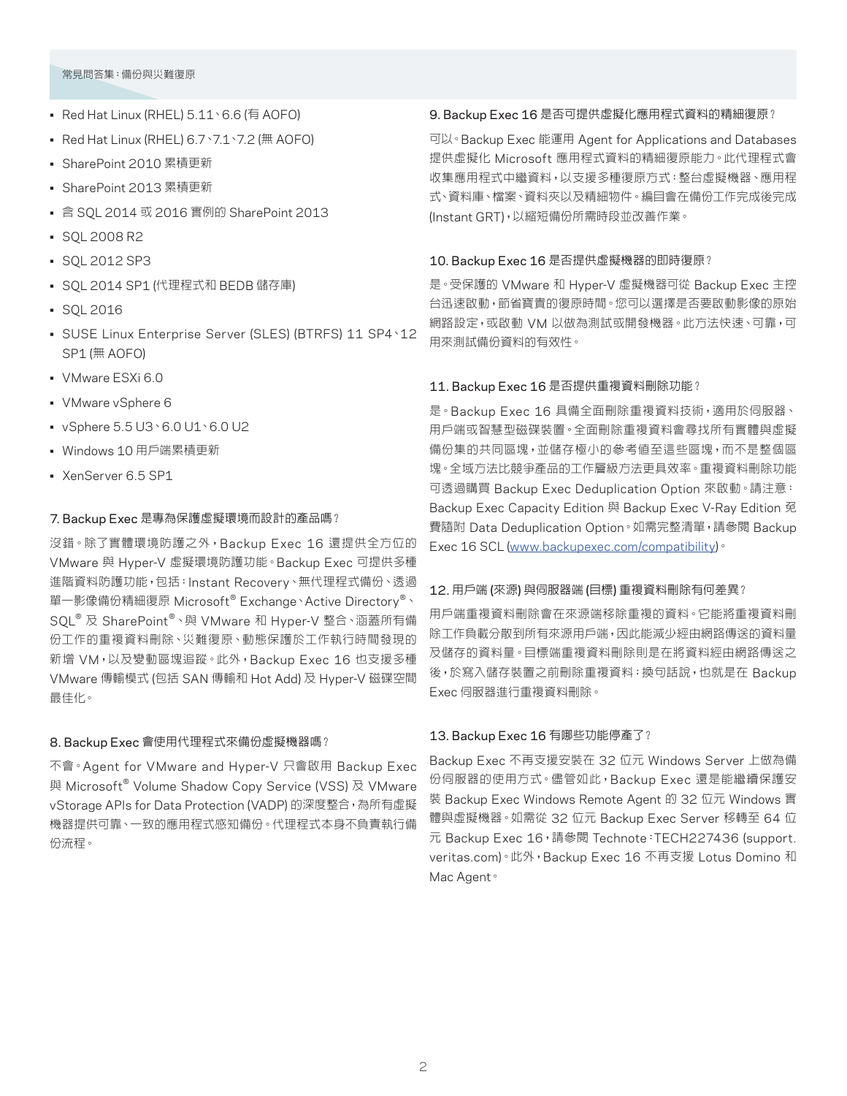## 常見問答集:備份與災難復原

- Red Hat Linux (RHEL) 5.11、6.6 (有 AOFO)
- Red Hat Linux (RHEL) 6.7、7.1、7.2 (無 AOFO)
- SharePoint 2010 累積更新
- SharePoint 2013 累積更新
- 含 SQL 2014 或 2016 實例的 SharePoint 2013
- SQL 2008 R2
- SQL 2012 SP3
- SQL 2014 SP1 (代理程式和 BEDB 儲存庫)
- SQL 2016
- SUSE Linux Enterprise Server (SLES) (BTRFS) 11 SP4、12 SP1 (無 AOFO)
- VMware ESXi 6.0
- VMware vSphere 6
- vSphere 5.5 U3、6.0 U1、6.0 U2
- Windows 10 用戶端累積更新
- XenServer 6.5 SP1

# 7. Backup Exec 是專為保護虛擬環境而設計的產品嗎?

沒錯。除了實體環境防護之外,Backup Exec 16 還提供全方位的 VMware 與 Hyper-V 虛擬環境防護功能。Backup Exec 可提供多種 進階資料防護功能,包括:Instant Recovery、無代理程式備份、透過 單一影像備份精細復原 Microsoft® Exchange、Active Directory®、 SQL® 及 SharePoint®、與 VMware 和 Hyper-V 整合、涵蓋所有備 份工作的重複資料刪除、災難復原、動態保護於工作執行時間發現的 新增 VM,以及變動區塊追蹤。此外,Backup Exec 16 也支援多種 VMware 傳輸模式 (包括 SAN 傳輸和 Hot Add) 及 Hyper-V 磁碟空間 最佳化。

# 8. Backup Exec 會使用代理程式來備份虛擬機器嗎?

不會。Agent for VMware and Hyper-V 只會啟用 Backup Exec 與 Microsoft<sup>®</sup> Volume Shadow Copy Service (VSS) 及 VMware vStorage APIs for Data Protection (VADP) 的深度整合,為所有虛擬 機器提供可靠、一致的應用程式感知備份。代理程式本身不負責執行備 份流程。

# 9. Backup Exec 16 是否可提供虛擬化應用程式資料的精細復原?

可以。Backup Exec 能運用 Agent for Applications and Databases 提供虛擬化 Microsoft 應用程式資料的精細復原能力。此代理程式會 收集應用程式中繼資料,以支援多種復原方式:整台虛擬機器、應用程 式、資料庫、檔案、資料夾以及精細物件。編目會在備份工作完成後完成 (Instant GRT),以縮短備份所需時段並改善作業。

# 10. Backup Exec 16 是否提供虛擬機器的即時復原?

是。受保護的 VMware 和 Hyper-V 虛擬機器可從 Backup Exec 主控 台迅速啟動,節省寶貴的復原時間。您可以選擇是否要啟動影像的原始 網路設定,或啟動 VM 以做為測試或開發機器。此方法快速、可靠,可 用來測試備份資料的有效性。

# 11. Backup Exec 16 是否提供重複資料刪除功能?

是。Backup Exec 16 具備全面刪除重複資料技術,適用於伺服器、 用戶端或智慧型磁碟裝置。全面刪除重複資料會尋找所有實體與虛擬 備份集的共同區塊,並儲存極小的參考值至這些區塊,而不是整個區 塊。全域方法比競爭產品的工作層級方法更具效率。重複資料刪除功能 可透過購買 Backup Exec Deduplication Option 來啟動。請注意: Backup Exec Capacity Edition 與 Backup Exec V-Ray Edition 冤 費隨附 Data Deduplication Option。如需完整清單,請參閱 Backup Exec 16 SCL (www.backupexec.com/compatibility)。

# 12. 用戶端 (來源) 與伺服器端 (目標) 重複資料刪除有何差異?

用戶端重複資料刪除會在來源端移除重複的資料。它能將重複資料刪 除工作負載分散到所有來源用戶端,因此能減少經由網路傳送的資料量 及儲存的資料量。目標端重複資料刪除則是在將資料經由網路傳送之 後,於寫入儲存裝置之前刪除重複資料;換句話說,也就是在 Backup Exec 伺服器進行重複資料刪除。

# 13. Backup Exec 16 有哪些功能停產了?

Backup Exec 不再支援安裝在 32 位元 Windows Server 上做為備 份伺服器的使用方式。儘管如此,Backup Exec 還是能繼續保護安 裝 Backup Exec Windows Remote Agent 的 32 位元 Windows 實 體與虛擬機器。如需從 32 位元 Backup Exec Server 移轉至 64 位 元 Backup Exec 16, 請參閱 Technote: TECH227436 (support. veritas.com)。此外,Backup Exec 16 不再支援 Lotus Domino 和 Mac Agent。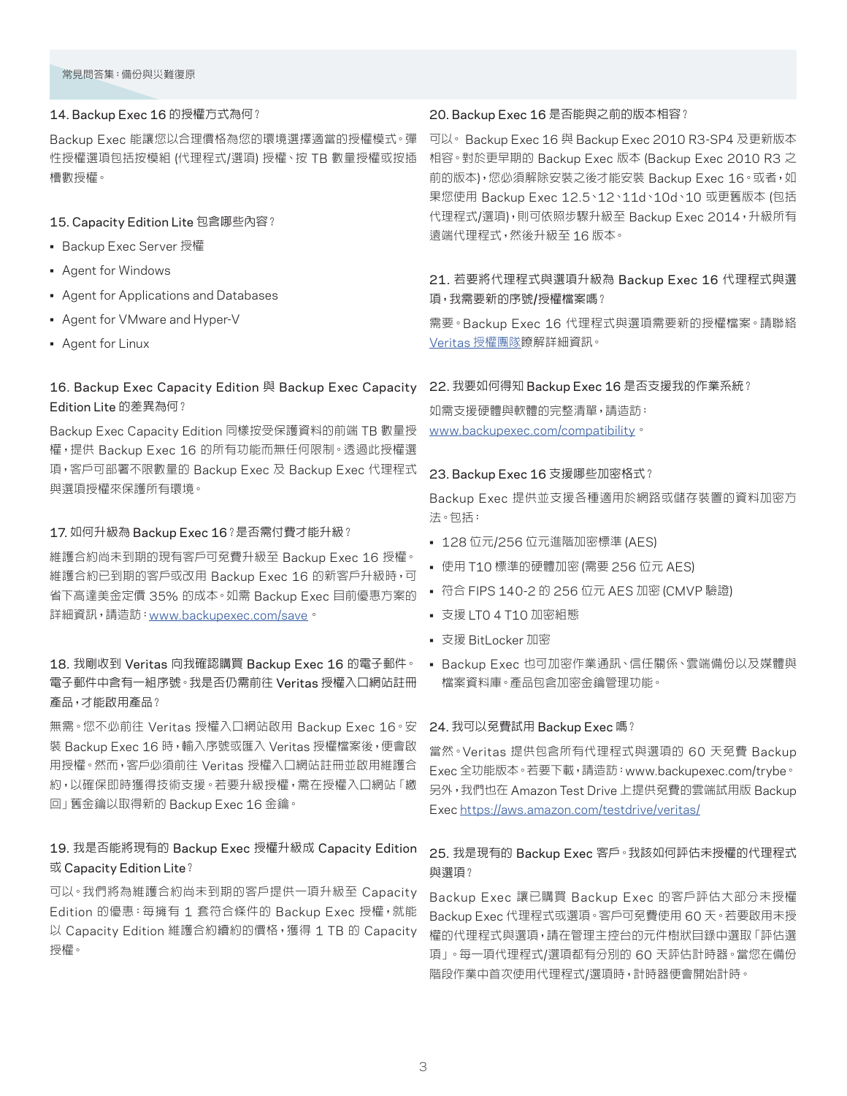## 14. Backup Exec 16 的授權方式為何?

Backup Exec 能讓您以合理價格為您的環境選擇適當的授權模式。彈 性授權選項包括按模組 (代理程式/選項) 授權、按 TB 數量授權或按插 槽數授權。

## 15. Capacity Edition Lite 包含哪些內容?

- Backup Exec Server 授權
- Agent for Windows
- Agent for Applications and Databases
- Agent for VMware and Hyper-V
- Agent for Linux

# 16. Backup Exec Capacity Edition 與 Backup Exec Capacity Edition Lite 的差異為何?

Backup Exec Capacity Edition 同樣按受保護資料的前端 TB 數量授 權,提供 Backup Exec 16 的所有功能而無任何限制。透過此授權選 項,客戶可部署不限數量的 Backup Exec 及 Backup Exec 代理程式 與選項授權來保護所有環境。

## 17. 如何升級為 Backup Exec 16?是否需付費才能升級?

維護合約尚未到期的現有客戶可免費升級至 Backup Exec 16 授權。 維護合約已到期的客戶或改用 Backup Exec 16 的新客戶升級時,可 省下高達美金定價 35% 的成本。如需 Backup Exec 目前優惠方案的 詳細資訊,請造訪:www.backupexec.com/save。

# 18. 我剛收到 Veritas 向我確認購買 Backup Exec 16 的電子郵件。 電子郵件中含有一組序號。我是否仍需前往 Veritas 授權入口網站註冊 產品,才能啟用產品?

無需。您不必前往 Veritas 授權入口網站啟用 Backup Exec 16。安 裝 Backup Exec 16 時,輸入序號或匯入 Veritas 授權檔案後,便會啟 用授權。然而,客戶必須前往 Veritas 授權入口網站註冊並啟用維護合 約,以確保即時獲得技術支援。若要升級授權,需在授權入口網站「繳 回」舊金鑰以取得新的 Backup Exec 16 金鑰。

# 19. 我是否能將現有的 Backup Exec 授權升級成 Capacity Edition 或 Capacity Edition Lite?

可以。我們將為維護合約尚未到期的客戶提供一項升級至 Capacity Edition 的優惠:每擁有 1 套符合條件的 Backup Exec 授權,就能 以 Capacity Edition 維護合約續約的價格,獲得 1 TB 的 Capacity 授權。

## 20. Backup Exec 16 是否能與之前的版本相容?

可以。 Backup Exec 16 與 Backup Exec 2010 R3-SP4 及更新版本 相容。對於更早期的 Backup Exec 版本 (Backup Exec 2010 R3 之 前的版本),您必須解除安裝之後才能安裝 Backup Exec 16。或者,如 果您使用 Backup Exec 12.5、12、11d、10d、10 或更舊版本 (包括 代理程式/選項),則可依照步驟升級至 Backup Exec 2014,升級所有 遠端代理程式,然後升級至 16 版本。

# 21. 若要將代理程式與選項升級為 Backup Exec 16 代理程式與選 項,我需要新的序號/授權檔案嗎?

需要。Backup Exec 16 代理程式與選項需要新的授權檔案。請聯絡 Veritas 授權團隊瞭解詳細資訊。

#### 22. 我要如何得知 Backup Exec 16 是否支援我的作業系統?

如需支援硬體與軟體的完整清單,請造訪: www.backupexec.com/compatibility。

#### 23. Backup Exec 16 支援哪些加密格式?

Backup Exec 提供並支援各種適用於網路或儲存裝置的資料加密方 法。包括:

- 128 位元/256 位元進階加密標準 (AES)
- 使用 T10 標準的硬體加密 (需要 256 位元 AES)
- 符合 FIPS 140-2 的 256 位元 AES 加密 (CMVP 驗證)
- 支援 LT0 4 T10 加密組態
- 支援 BitLocker 加密
- Backup Exec 也可加密作業通訊、信任關係、雲端備份以及媒體與 檔案資料庫。產品包含加密金鑰管理功能。

#### 24. 我可以免費試用 Backup Exec 嗎?

當然。Veritas 提供包含所有代理程式與選項的 60 天免費 Backup Exec 全功能版本。若要下載,請造訪:www.backupexec.com/trybe。 另外,我們也在 Amazon Test Drive 上提供免費的雲端試用版 Backup Exec https://aws.amazon.com/testdrive/veritas/

# 25. 我是現有的 Backup Exec 客戶。我該如何評估未授權的代理程式 與選項?

Backup Exec 讓已購買 Backup Exec 的客戶評估大部分未授權 Backup Exec 代理程式或選項。客戶可免費使用 60 天。若要啟用未授 權的代理程式與選項,請在管理主控台的元件樹狀目錄中選取「評估選 項」。每一項代理程式/選項都有分別的 60 天評估計時器。當您在備份 階段作業中首次使用代理程式/選項時,計時器便會開始計時。